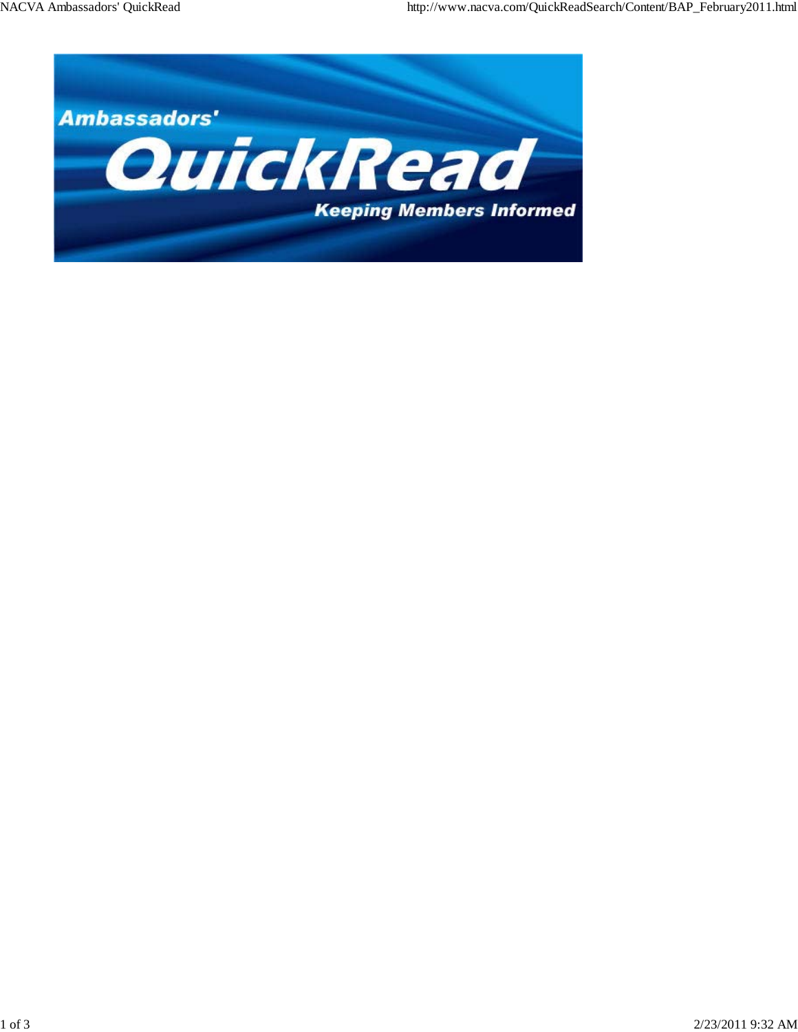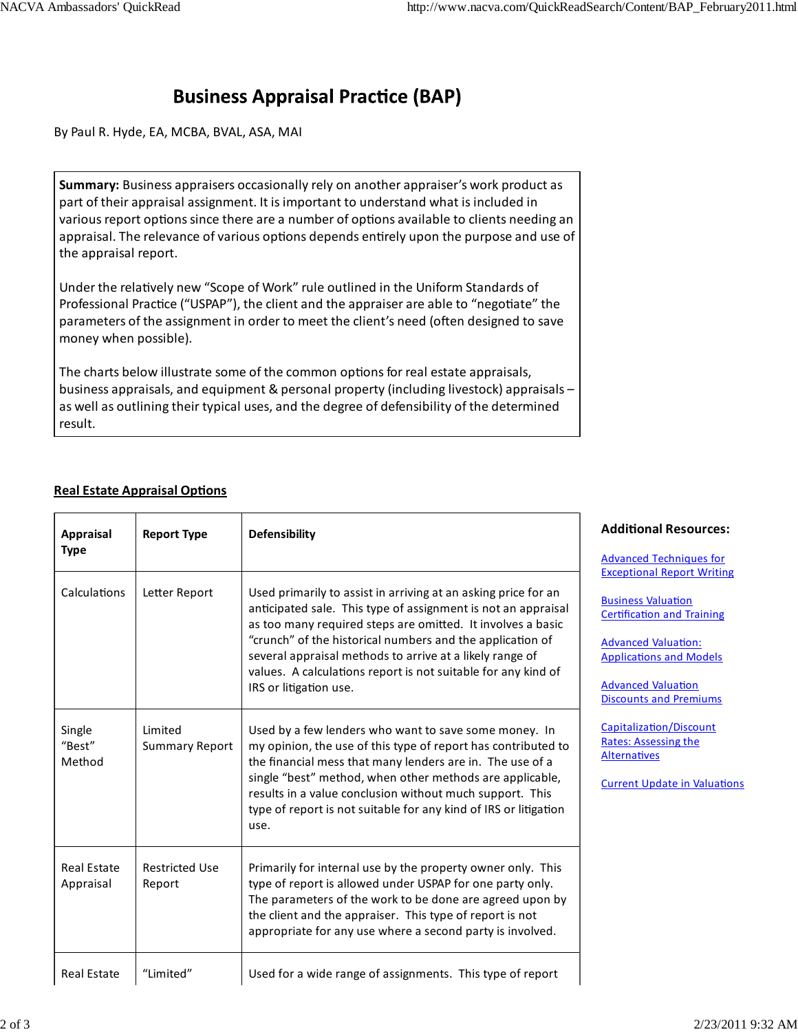## **Business Appraisal Practice (BAP)**

By Paul R. Hyde, EA, MCBA, BVAL, ASA, MAI

**Summary:** Business appraisers occasionally rely on another appraiser's work product as part of their appraisal assignment. It is important to understand what is included in various report options since there are a number of options available to clients needing an appraisal. The relevance of various options depends entirely upon the purpose and use of the appraisal report.

Under the relatively new "Scope of Work" rule outlined in the Uniform Standards of Professional Practice ("USPAP"), the client and the appraiser are able to "negotiate" the parameters of the assignment in order to meet the client's need (often designed to save money when possible).

The charts below illustrate some of the common options for real estate appraisals, business appraisals, and equipment & personal property (including livestock) appraisals – as well as outlining their typical uses, and the degree of defensibility of the determined result.

## **Real Estate Appraisal Options**

| <b>Appraisal</b>                | <b>Report Type</b>               | <b>Defensibility</b>                                                                                                                                                                                                                                                                                                                                                                                               | <b>Additional Resources:</b>                                                                                                                                                                                                                                                                                                                                                                |
|---------------------------------|----------------------------------|--------------------------------------------------------------------------------------------------------------------------------------------------------------------------------------------------------------------------------------------------------------------------------------------------------------------------------------------------------------------------------------------------------------------|---------------------------------------------------------------------------------------------------------------------------------------------------------------------------------------------------------------------------------------------------------------------------------------------------------------------------------------------------------------------------------------------|
| <b>Type</b><br>Calculations     | Letter Report                    | Used primarily to assist in arriving at an asking price for an<br>anticipated sale. This type of assignment is not an appraisal<br>as too many required steps are omitted. It involves a basic<br>"crunch" of the historical numbers and the application of<br>several appraisal methods to arrive at a likely range of<br>values. A calculations report is not suitable for any kind of<br>IRS or litigation use. | <b>Advanced Techniques for</b><br><b>Exceptional Report Writing</b><br><b>Business Valuation</b><br><b>Certification and Training</b><br><b>Advanced Valuation:</b><br><b>Applications and Models</b><br><b>Advanced Valuation</b><br><b>Discounts and Premiums</b><br>Capitalization/Discount<br><b>Rates: Assessing the</b><br><b>Alternatives</b><br><b>Current Update in Valuations</b> |
| Single<br>"Best"<br>Method      | Limited<br><b>Summary Report</b> | Used by a few lenders who want to save some money. In<br>my opinion, the use of this type of report has contributed to<br>the financial mess that many lenders are in. The use of a<br>single "best" method, when other methods are applicable,<br>results in a value conclusion without much support. This<br>type of report is not suitable for any kind of IRS or litigation<br>use.                            |                                                                                                                                                                                                                                                                                                                                                                                             |
| <b>Real Estate</b><br>Appraisal | <b>Restricted Use</b><br>Report  | Primarily for internal use by the property owner only. This<br>type of report is allowed under USPAP for one party only.<br>The parameters of the work to be done are agreed upon by<br>the client and the appraiser. This type of report is not<br>appropriate for any use where a second party is involved.                                                                                                      |                                                                                                                                                                                                                                                                                                                                                                                             |
| <b>Real Estate</b>              | "Limited"                        | Used for a wide range of assignments. This type of report                                                                                                                                                                                                                                                                                                                                                          |                                                                                                                                                                                                                                                                                                                                                                                             |